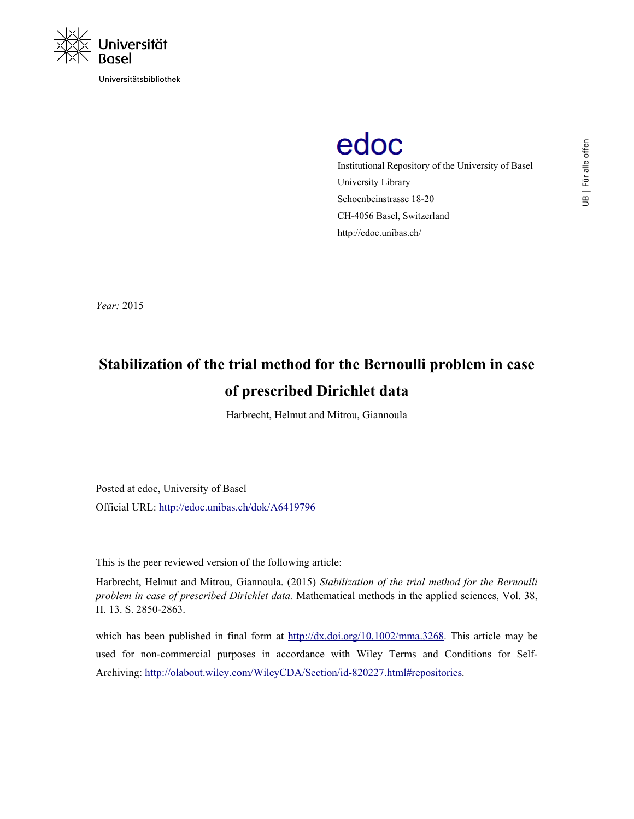

Universitätsbibliothek

# edoc

Institutional Repository of the University of Basel University Library Schoenbeinstrasse 18-20 CH-4056 Basel, Switzerland http://edoc.unibas.ch/

*Year:* 2015

## **Stabilization of the trial method for the Bernoulli problem in case of prescribed Dirichlet data**

Harbrecht, Helmut and Mitrou, Giannoula

Posted at edoc, University of Basel Official URL: http://edoc.unibas.ch/dok/A6419796

This is the peer reviewed version of the following article:

Harbrecht, Helmut and Mitrou, Giannoula. (2015) *Stabilization of the trial method for the Bernoulli problem in case of prescribed Dirichlet data.* Mathematical methods in the applied sciences, Vol. 38, H. 13. S. 2850-2863.

which has been published in final form at http://dx.doi.org/10.1002/mma.3268. This article may be used for non-commercial purposes in accordance with Wiley Terms and Conditions for Self-Archiving: http://olabout.wiley.com/WileyCDA/Section/id-820227.html#repositories.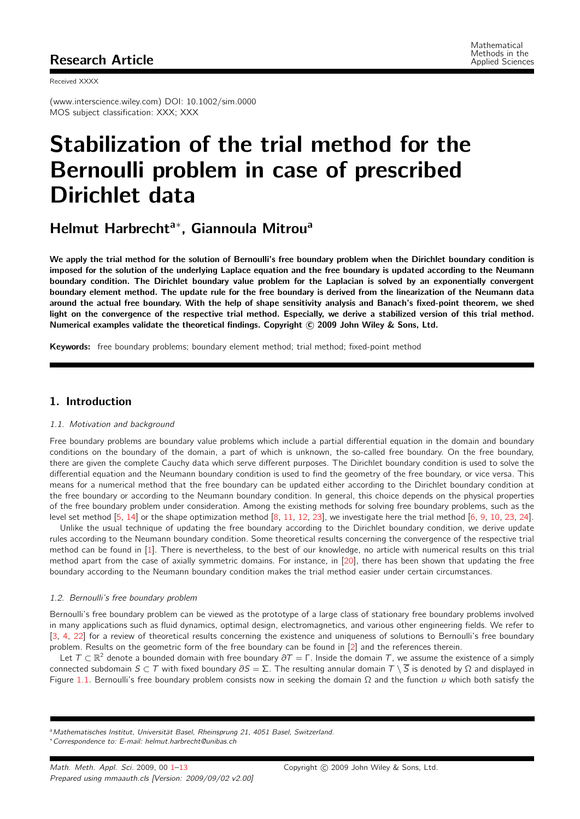<span id="page-1-0"></span>Received XXXX

Mathematical Methods in the Applied Sciences

(www.interscience.wiley.com) DOI: 10.1002/sim.0000 MOS subject classification: XXX; XXX

## Stabilization of the trial method for the Bernoulli problem in case of prescribed Dirichlet data

## Helmut Harbrecht<sup>a</sup>\*, Giannoula Mitrou<sup>a</sup>

We apply the trial method for the solution of Bernoulli's free boundary problem when the Dirichlet boundary condition is imposed for the solution of the underlying Laplace equation and the free boundary is updated according to the Neumann boundary condition. The Dirichlet boundary value problem for the Laplacian is solved by an exponentially convergent boundary element method. The update rule for the free boundary is derived from the linearization of the Neumann data around the actual free boundary. With the help of shape sensitivity analysis and Banach's fixed-point theorem, we shed light on the convergence of the respective trial method. Especially, we derive a stabilized version of this trial method. Numerical examples validate the theoretical findings. Copyright © 2009 John Wiley & Sons, Ltd.

Keywords: free boundary problems; boundary element method; trial method; fixed-point method

## 1. Introduction

## 1.1. Motivation and background

Free boundary problems are boundary value problems which include a partial differential equation in the domain and boundary conditions on the boundary of the domain, a part of which is unknown, the so-called free boundary. On the free boundary, there are given the complete Cauchy data which serve different purposes. The Dirichlet boundary condition is used to solve the differential equation and the Neumann boundary condition is used to find the geometry of the free boundary, or vice versa. This means for a numerical method that the free boundary can be updated either according to the Dirichlet boundary condition at the free boundary or according to the Neumann boundary condition. In general, this choice depends on the physical properties of the free boundary problem under consideration. Among the existing methods for solving free boundary problems, such as the level set method [\[5,](#page-12-0) [14\]](#page-13-0) or the shape optimization method [\[8,](#page-13-1) [11,](#page-13-2) [12,](#page-13-3) [23\]](#page-13-4), we investigate here the trial method [\[6,](#page-13-5) [9,](#page-13-6) [10,](#page-13-7) [23,](#page-13-4) [24\]](#page-13-8).

Unlike the usual technique of updating the free boundary according to the Dirichlet boundary condition, we derive update rules according to the Neumann boundary condition. Some theoretical results concerning the convergence of the respective trial method can be found in [\[1\]](#page-12-1). There is nevertheless, to the best of our knowledge, no article with numerical results on this trial method apart from the case of axially symmetric domains. For instance, in [\[20\]](#page-13-9), there has been shown that updating the free boundary according to the Neumann boundary condition makes the trial method easier under certain circumstances.

## 1.2. Bernoulli's free boundary problem

Bernoulli's free boundary problem can be viewed as the prototype of a large class of stationary free boundary problems involved in many applications such as fluid dynamics, optimal design, electromagnetics, and various other engineering fields. We refer to [\[3,](#page-12-2) [4,](#page-12-3) [22\]](#page-13-10) for a review of theoretical results concerning the existence and uniqueness of solutions to Bernoulli's free boundary problem. Results on the geometric form of the free boundary can be found in [\[2\]](#page-12-4) and the references therein.

Let  $T \subset \mathbb{R}^2$  denote a bounded domain with free boundary  $\partial T = \Gamma$ . Inside the domain  $T$ , we assume the existence of a simply connected subdomain  $S \subset T$  with fixed boundary  $\partial S = \Sigma$ . The resulting annular domain  $T \setminus \overline{S}$  is denoted by Ω and displayed in Figure [1.1.](#page-2-0) Bernoulli's free boundary problem consists now in seeking the domain Ω and the function *u* which both satisfy the

a Mathematisches Institut, Universität Basel, Rheinsprung 21, 4051 Basel, Switzerland.

<sup>∗</sup>Correspondence to: E-mail: helmut.harbrecht@unibas.ch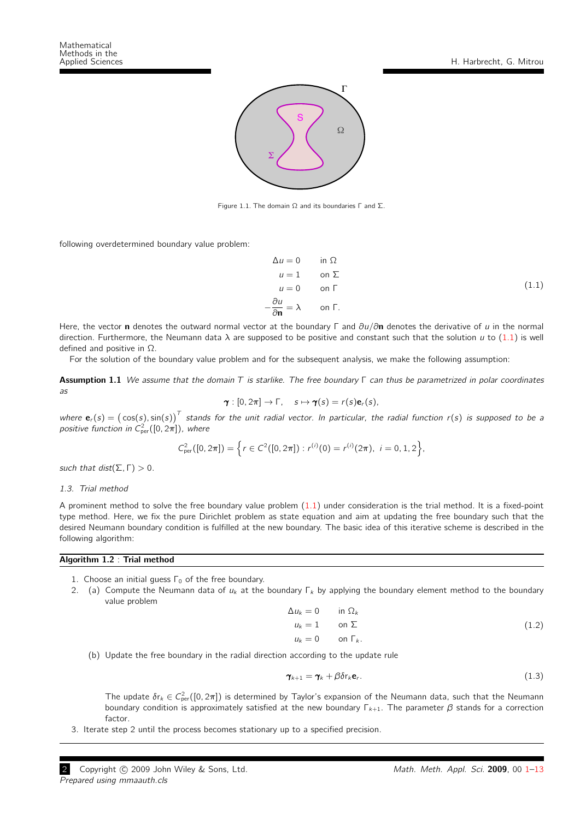

Figure 1.1. The domain  $Ω$  and its boundaries  $Γ$  and  $Σ$ .

<span id="page-2-0"></span>following overdetermined boundary value problem:

<span id="page-2-2"></span><span id="page-2-1"></span>
$$
\Delta u = 0 \quad \text{in } \Omega
$$
  
\n
$$
u = 1 \quad \text{on } \Sigma
$$
  
\n
$$
u = 0 \quad \text{on } \Gamma
$$
  
\n
$$
-\frac{\partial u}{\partial n} = \lambda \quad \text{on } \Gamma.
$$
  
\n(1.1)

Here, the vector **n** denotes the outward normal vector at the boundary  $\Gamma$  and  $\partial u/\partial \mathbf{n}$  denotes the derivative of u in the normal direction. Furthermore, the Neumann data  $\lambda$  are supposed to be positive and constant such that the solution u to [\(1.1\)](#page-2-1) is well defined and positive in Ω.

For the solution of the boundary value problem and for the subsequent analysis, we make the following assumption:

**Assumption 1.1** We assume that the domain T is starlike. The free boundary  $\Gamma$  can thus be parametrized in polar coordinates as

$$
\boldsymbol{\gamma}:[0,2\pi]\to\Gamma,\quad s\mapsto\boldsymbol{\gamma}(s)=r(s)\mathbf{e}_r(s),
$$

where  ${\bf e}_r(s)=\big(\cos(s),\sin(s)\big)^T$  stands for the unit radial vector. In particular, the radial function r(s) is supposed to be a positive function in  $C_{\text{per}}^2([0,2\pi])$ , where

$$
C_{\text{per}}^2([0, 2\pi]) = \left\{ r \in C^2([0, 2\pi]) : r^{(i)}(0) = r^{(i)}(2\pi), \ i = 0, 1, 2 \right\},\
$$

such that dist $(\Sigma, \Gamma) > 0$ .

#### 1.3. Trial method

A prominent method to solve the free boundary value problem [\(1.1\)](#page-2-1) under consideration is the trial method. It is a fixed-point type method. Here, we fix the pure Dirichlet problem as state equation and aim at updating the free boundary such that the desired Neumann boundary condition is fulfilled at the new boundary. The basic idea of this iterative scheme is described in the following algorithm:

<span id="page-2-4"></span>Algorithm 1.2 : Trial method

- 1. Choose an initial guess  $\Gamma_0$  of the free boundary.
- 2. (a) Compute the Neumann data of  $u_k$  at the boundary  $\Gamma_k$  by applying the boundary element method to the boundary value problem
	- $\Delta u_k = 0$  in  $\Omega_k$  $u_k = 1$  on  $\Sigma$  $u_k = 0$  on  $\Gamma_k$ . (1.2)

(b) Update the free boundary in the radial direction according to the update rule

<span id="page-2-5"></span><span id="page-2-3"></span>
$$
\boldsymbol{\gamma}_{k+1} = \boldsymbol{\gamma}_k + \beta \delta r_k \mathbf{e}_r. \tag{1.3}
$$

The update  $\delta r_k\in C^2_{\rm per}([0,2\pi])$  is determined by Taylor's expansion of the Neumann data, such that the Neumann boundary condition is approximately satisfied at the new boundary  $\Gamma_{k+1}$ . The parameter  $\beta$  stands for a correction factor.

3. Iterate step 2 until the process becomes stationary up to a specified precision.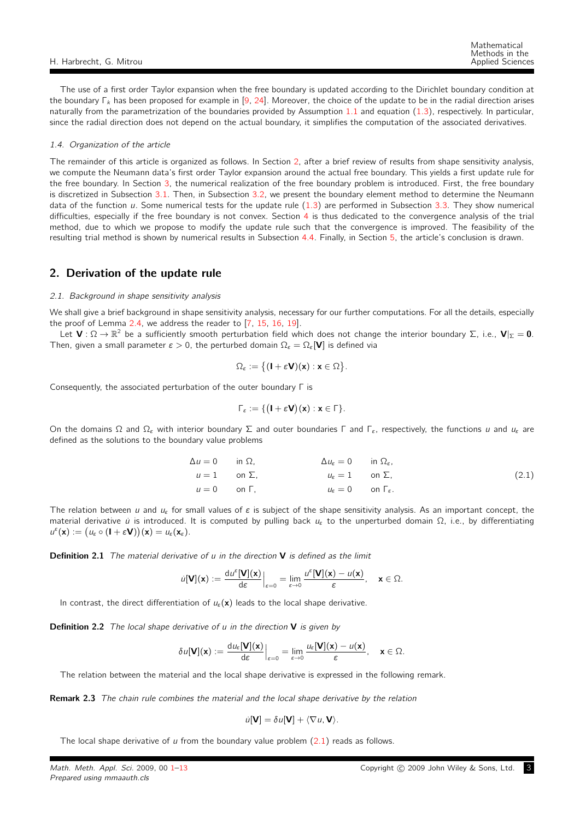The use of a first order Taylor expansion when the free boundary is updated according to the Dirichlet boundary condition at the boundary  $\Gamma_k$  has been proposed for example in [\[9,](#page-13-6) [24\]](#page-13-8). Moreover, the choice of the update to be in the radial direction arises naturally from the parametrization of the boundaries provided by Assumption [1.1](#page-2-2) and equation [\(1.3\)](#page-2-3), respectively. In particular, since the radial direction does not depend on the actual boundary, it simplifies the computation of the associated derivatives.

#### 1.4. Organization of the article

The remainder of this article is organized as follows. In Section [2,](#page-3-0) after a brief review of results from shape sensitivity analysis, we compute the Neumann data's first order Taylor expansion around the actual free boundary. This yields a first update rule for the free boundary. In Section [3,](#page-6-0) the numerical realization of the free boundary problem is introduced. First, the free boundary is discretized in Subsection [3.1.](#page-6-1) Then, in Subsection [3.2,](#page-7-0) we present the boundary element method to determine the Neumann data of the function  $u$ . Some numerical tests for the update rule  $(1.3)$  are performed in Subsection [3.3.](#page-7-1) They show numerical difficulties, especially if the free boundary is not convex. Section [4](#page-8-0) is thus dedicated to the convergence analysis of the trial method, due to which we propose to modify the update rule such that the convergence is improved. The feasibility of the resulting trial method is shown by numerical results in Subsection [4.4.](#page-11-0) Finally, in Section [5,](#page-12-6) the article's conclusion is drawn.

## <span id="page-3-0"></span>2. Derivation of the update rule

#### 2.1. Background in shape sensitivity analysis

We shall give a brief background in shape sensitivity analysis, necessary for our further computations. For all the details, especially the proof of Lemma [2.4,](#page-3-1) we address the reader to [\[7,](#page-13-11) [15,](#page-13-12) [16,](#page-13-13) [19\]](#page-13-14).

Let  $V: \Omega \to \mathbb{R}^2$  be a sufficiently smooth perturbation field which does not change the interior boundary  $\Sigma$ , i.e.,  $V|_{\Sigma} = 0$ . Then, given a small parameter  $\varepsilon > 0$ , the perturbed domain  $\Omega_{\varepsilon} = \Omega_{\varepsilon}[\mathbf{V}]$  is defined via

$$
\Omega_{\varepsilon} := \left\{ (\mathbf{I} + \varepsilon \mathbf{V})(\mathbf{x}) : \mathbf{x} \in \Omega \right\}.
$$

Consequently, the associated perturbation of the outer boundary Γ is

<span id="page-3-2"></span>
$$
\Gamma_{\varepsilon} := \{ (\mathbf{I} + \varepsilon \mathbf{V})(\mathbf{x}) : \mathbf{x} \in \Gamma \}.
$$

On the domains  $\Omega$  and  $\Omega_\varepsilon$  with interior boundary  $\Sigma$  and outer boundaries Γ and Γ<sub>ε</sub>, respectively, the functions u and u<sub>ε</sub> are defined as the solutions to the boundary value problems

$$
\Delta u = 0 \quad \text{in } \Omega, \qquad \Delta u_{\varepsilon} = 0 \quad \text{in } \Omega_{\varepsilon},
$$
  
\n
$$
u = 1 \quad \text{on } \Sigma, \qquad u_{\varepsilon} = 1 \quad \text{on } \Sigma, \qquad (2.1)
$$
  
\n
$$
u = 0 \quad \text{on } \Gamma, \qquad u_{\varepsilon} = 0 \quad \text{on } \Gamma_{\varepsilon}.
$$

The relation between u and  $u_{\varepsilon}$  for small values of  $\varepsilon$  is subject of the shape sensitivity analysis. As an important concept, the material derivative *ù* is introduced. It is computed by pulling back  $u_{\epsilon}$  to the unperturbed domain Ω, i.e., by differentiating  $u^{\varepsilon}(\mathbf{x}) := (u_{\varepsilon} \circ (\mathbf{I} + \varepsilon \mathbf{V}))(\mathbf{x}) = u_{\varepsilon}(\mathbf{x}_{\varepsilon}).$ 

**Definition 2.1** The material derivative of u in the direction  $V$  is defined as the limit

$$
\dot{u}[\mathbf{V}](\mathbf{x}) := \frac{du^{\varepsilon}[\mathbf{V}](\mathbf{x})}{d\varepsilon}\Big|_{\varepsilon=0} = \lim_{\varepsilon \to 0} \frac{u^{\varepsilon}[\mathbf{V}](\mathbf{x}) - u(\mathbf{x})}{\varepsilon}, \quad \mathbf{x} \in \Omega.
$$

In contrast, the direct differentiation of  $u_{\epsilon}(x)$  leads to the local shape derivative.

**Definition 2.2** The local shape derivative of u in the direction  $V$  is given by

$$
\delta u[\mathbf{V}](\mathbf{x}) := \frac{du_{\varepsilon}[\mathbf{V}](\mathbf{x})}{d\varepsilon}\Big|_{\varepsilon=0} = \lim_{\varepsilon \to 0} \frac{u_{\varepsilon}[\mathbf{V}](\mathbf{x}) - u(\mathbf{x})}{\varepsilon}, \quad \mathbf{x} \in \Omega.
$$

<span id="page-3-3"></span>The relation between the material and the local shape derivative is expressed in the following remark.

**Remark 2.3** The chain rule combines the material and the local shape derivative by the relation

$$
\dot{u}[\mathbf{V}] = \delta u[\mathbf{V}] + \langle \nabla u, \mathbf{V} \rangle.
$$

<span id="page-3-1"></span>The local shape derivative of  $u$  from the boundary value problem  $(2.1)$  reads as follows.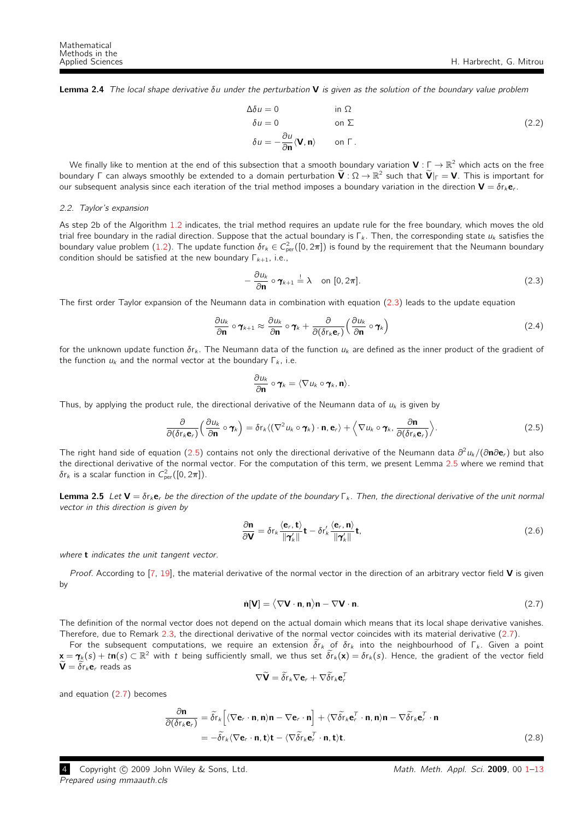Lemma 2.4 The local shape derivative  $\delta u$  under the perturbation V is given as the solution of the boundary value problem

<span id="page-4-7"></span>
$$
\Delta \delta u = 0 \qquad \text{in } \Omega
$$
  
\n
$$
\delta u = 0 \qquad \text{on } \Sigma
$$
  
\n
$$
\delta u = -\frac{\partial u}{\partial \mathbf{n}} \langle \mathbf{V}, \mathbf{n} \rangle \qquad \text{on } \Gamma.
$$
\n(2.2)

We finally like to mention at the end of this subsection that a smooth boundary variation  $\bf V$  :  $\Gamma\to\mathbb R^2$  which acts on the free boundary Γ can always smoothly be extended to a domain perturbation  $\widetilde{\mathbf{V}}:\Omega\to\mathbb{R}^2$  such that  $\widetilde{\mathbf{V}}|_{\Gamma}=\mathbf{V}$ . This is important for our subsequent analysis since each iteration of the trial method imposes a boundary variation in the direction  $V = \delta r_k e_r$ .

#### 2.2. Taylor's expansion

As step 2b of the Algorithm [1.2](#page-2-4) indicates, the trial method requires an update rule for the free boundary, which moves the old trial free boundary in the radial direction. Suppose that the actual boundary is Γ<sub>k</sub>. Then, the corresponding state  $u_k$  satisfies the boundary value problem [\(1.2\)](#page-2-5). The update function  $\delta r_k\in C^2_{\rm per}([0,2\pi])$  is found by the requirement that the Neumann boundary condition should be satisfied at the new boundary  $\Gamma_{k+1}$ , i.e.,

<span id="page-4-0"></span>
$$
-\frac{\partial u_k}{\partial \mathbf{n}} \circ \pmb{\gamma}_{k+1} \stackrel{!}{=} \lambda \quad \text{on } [0, 2\pi]. \tag{2.3}
$$

The first order Taylor expansion of the Neumann data in combination with equation [\(2.3\)](#page-4-0) leads to the update equation

$$
\frac{\partial u_k}{\partial \mathbf{n}} \circ \mathbf{\gamma}_{k+1} \approx \frac{\partial u_k}{\partial \mathbf{n}} \circ \mathbf{\gamma}_k + \frac{\partial}{\partial (\delta r_k \mathbf{e}_r)} \left( \frac{\partial u_k}{\partial \mathbf{n}} \circ \mathbf{\gamma}_k \right)
$$
(2.4)

for the unknown update function  $\delta r_k$ . The Neumann data of the function  $u_k$  are defined as the inner product of the gradient of the function  $u_k$  and the normal vector at the boundary  $\Gamma_k$ , i.e.

<span id="page-4-6"></span><span id="page-4-1"></span>
$$
\frac{\partial u_k}{\partial \mathbf{n}} \circ \mathbf{\gamma}_k = \langle \nabla u_k \circ \mathbf{\gamma}_k, \mathbf{n} \rangle.
$$

Thus, by applying the product rule, the directional derivative of the Neumann data of  $u_k$  is given by

$$
\frac{\partial}{\partial(\delta r_k \mathbf{e}_r)} \left( \frac{\partial u_k}{\partial \mathbf{n}} \circ \mathbf{\gamma}_k \right) = \delta r_k \langle (\nabla^2 u_k \circ \mathbf{\gamma}_k) \cdot \mathbf{n}, \mathbf{e}_r \rangle + \langle \nabla u_k \circ \mathbf{\gamma}_k, \frac{\partial \mathbf{n}}{\partial(\delta r_k \mathbf{e}_r)} \rangle. \tag{2.5}
$$

The right hand side of equation [\(2.5\)](#page-4-1) contains not only the directional derivative of the Neumann data  $\partial^2 u_k/(\partial n \partial e_r)$  but also the directional derivative of the normal vector. For the computation of this term, we present Lemma [2.5](#page-4-2) where we remind that δr<sub>k</sub> is a scalar function in  $C_{\text{per}}^2([0, 2\pi])$ .

<span id="page-4-2"></span>**Lemma 2.5** Let  $V = \delta r_k e_r$  be the direction of the update of the boundary Γ<sub>k</sub>. Then, the directional derivative of the unit normal vector in this direction is given by

<span id="page-4-5"></span>
$$
\frac{\partial \mathbf{n}}{\partial \mathbf{V}} = \delta r_k \frac{\langle \mathbf{e}_r, \mathbf{t} \rangle}{\|\mathbf{\gamma}_k'\|} \mathbf{t} - \delta r_k' \frac{\langle \mathbf{e}_r, \mathbf{n} \rangle}{\|\mathbf{\gamma}_k'\|} \mathbf{t},\tag{2.6}
$$

where **t** indicates the unit tangent vector.

*Proof.* According to [\[7,](#page-13-11) [19\]](#page-13-14), the material derivative of the normal vector in the direction of an arbitrary vector field  $\bf{V}$  is given by

$$
\mathbf{n}[\mathbf{V}] = \langle \nabla \mathbf{V} \cdot \mathbf{n}, \mathbf{n} \rangle \mathbf{n} - \nabla \mathbf{V} \cdot \mathbf{n}.\tag{2.7}
$$

The definition of the normal vector does not depend on the actual domain which means that its local shape derivative vanishes. Therefore, due to Remark [2.3,](#page-3-3) the directional derivative of the normal vector coincides with its material derivative [\(2.7\)](#page-4-3).

For the subsequent computations, we require an extension  $\delta r_k$  of  $\delta r_k$  into the neighbourhood of Γ<sub>k</sub>. Given a point  $\mathbf{x} = \boldsymbol{\gamma}_k(s) + t \mathbf{n}(s) \subset \mathbb{R}^2$  with  $t$  being sufficiently small, we thus set  $\widetilde{\delta r}_k(\mathbf{x}) = \delta r_k(s)$ . Hence, the gradient of the vector field  $\widetilde{\mathsf{V}}=\widetilde{\delta r}_{k}\mathsf{e}_{r}$  reads as

<span id="page-4-4"></span><span id="page-4-3"></span>
$$
\nabla \widetilde{\mathbf{V}} = \widetilde{\delta r}_k \nabla \mathbf{e}_r + \nabla \widetilde{\delta r}_k \mathbf{e}_r^T
$$

and equation [\(2.7\)](#page-4-3) becomes

$$
\frac{\partial \mathbf{n}}{\partial(\delta r_k \mathbf{e}_r)} = \tilde{\delta r}_k \Big[ \langle \nabla \mathbf{e}_r \cdot \mathbf{n}, \mathbf{n} \rangle \mathbf{n} - \nabla \mathbf{e}_r \cdot \mathbf{n} \Big] + \langle \nabla \tilde{\delta r}_k \mathbf{e}_r^T \cdot \mathbf{n}, \mathbf{n} \rangle \mathbf{n} - \nabla \tilde{\delta r}_k \mathbf{e}_r^T \cdot \mathbf{n}
$$
  
=  $-\tilde{\delta r}_k \langle \nabla \mathbf{e}_r \cdot \mathbf{n}, \mathbf{t} \rangle \mathbf{t} - \langle \nabla \tilde{\delta r}_k \mathbf{e}_r^T \cdot \mathbf{n}, \mathbf{t} \rangle \mathbf{t}.$  (2.8)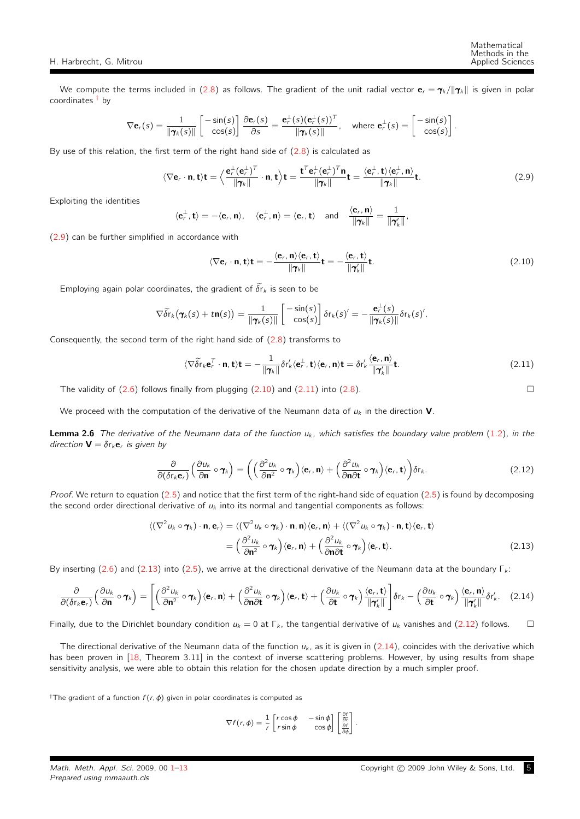### H. Harbrecht, G. Mitrou

We compute the terms included in [\(2.8\)](#page-4-4) as follows. The gradient of the unit radial vector  $\mathbf{e}_r = \gamma_k / ||\gamma_k||$  is given in polar coordinates [†](#page-5-0) by

$$
\nabla \mathbf{e}_r(s) = \frac{1}{\|\boldsymbol{\gamma}_k(s)\|} \begin{bmatrix} -\sin(s) \\ \cos(s) \end{bmatrix} \frac{\partial \mathbf{e}_r(s)}{\partial s} = \frac{\mathbf{e}_r^{\perp}(s)(\mathbf{e}_r^{\perp}(s))^{\mathsf{T}}}{\|\boldsymbol{\gamma}_k(s)\|}, \quad \text{where } \mathbf{e}_r^{\perp}(s) = \begin{bmatrix} -\sin(s) \\ \cos(s) \end{bmatrix}.
$$

By use of this relation, the first term of the right hand side of  $(2.8)$  is calculated as

$$
\langle \nabla \mathbf{e}_r \cdot \mathbf{n}, \mathbf{t} \rangle \mathbf{t} = \left\langle \frac{\mathbf{e}_r^{\perp} (\mathbf{e}_r^{\perp})^{\mathsf{T}}}{\|\pmb{\gamma}_k\|} \cdot \mathbf{n}, \mathbf{t} \right\rangle \mathbf{t} = \frac{\mathbf{t}^{\mathsf{T}} \mathbf{e}_r^{\perp} (\mathbf{e}_r^{\perp})^{\mathsf{T}} \mathbf{n}}{\|\pmb{\gamma}_k\|} \mathbf{t} = \frac{\langle \mathbf{e}_r^{\perp}, \mathbf{t} \rangle \langle \mathbf{e}_r^{\perp}, \mathbf{n} \rangle}{\|\pmb{\gamma}_k\|} \mathbf{t}.
$$
 (2.9)

Exploiting the identities

$$
\mathbf{e}_r^{\perp}, \mathbf{t} \rangle = - \langle \mathbf{e}_r, \mathbf{n} \rangle, \quad \langle \mathbf{e}_r^{\perp}, \mathbf{n} \rangle = \langle \mathbf{e}_r, \mathbf{t} \rangle \quad \text{and} \quad \frac{\langle \mathbf{e}_r, \mathbf{n} \rangle}{\|\mathbf{\gamma}_k\|} = \frac{1}{\|\mathbf{\gamma}_k'\|},
$$

[\(2.9\)](#page-5-1) can be further simplified in accordance with

<span id="page-5-3"></span><span id="page-5-2"></span><span id="page-5-1"></span>
$$
\langle \nabla \mathbf{e}_r \cdot \mathbf{n}, \mathbf{t} \rangle \mathbf{t} = -\frac{\langle \mathbf{e}_r, \mathbf{n} \rangle \langle \mathbf{e}_r, \mathbf{t} \rangle}{\|\boldsymbol{\gamma}_k\|} \mathbf{t} = -\frac{\langle \mathbf{e}_r, \mathbf{t} \rangle}{\|\boldsymbol{\gamma}_k'\|} \mathbf{t}.
$$
 (2.10)

Employing again polar coordinates, the gradient of  $\tilde{\delta r}_k$  is seen to be

 $\langle$ 

$$
\nabla \widetilde{\delta r}_k(\boldsymbol{\gamma}_k(s)+t\mathbf{n}(s))=\frac{1}{\|\boldsymbol{\gamma}_k(s)\|}\begin{bmatrix} -\sin(s)\\ \cos(s) \end{bmatrix}\delta r_k(s)'=-\frac{\mathbf{e}_r^{\perp}(s)}{\|\boldsymbol{\gamma}_k(s)\|}\delta r_k(s)'.
$$

Consequently, the second term of the right hand side of [\(2.8\)](#page-4-4) transforms to

<span id="page-5-5"></span>
$$
\langle \nabla \widetilde{\delta r}_k \mathbf{e}_r^T \cdot \mathbf{n}, \mathbf{t} \rangle \mathbf{t} = -\frac{1}{\|\mathbf{\gamma}_k\|} \delta r'_k \langle \mathbf{e}_r^{\perp}, \mathbf{t} \rangle \langle \mathbf{e}_r, \mathbf{n} \rangle \mathbf{t} = \delta r'_k \frac{\langle \mathbf{e}_r, \mathbf{n} \rangle}{\|\mathbf{\gamma}_k'\|} \mathbf{t}.
$$
 (2.11)

The validity of  $(2.6)$  follows finally from plugging  $(2.10)$  and  $(2.11)$  into  $(2.8)$ .

We proceed with the computation of the derivative of the Neumann data of  $u_k$  in the direction **V**.

**Lemma 2.6** The derivative of the Neumann data of the function  $u_k$ , which satisfies the boundary value problem  $(1.2)$ , in the direction  $V = \delta r_k e_r$  is given by

$$
\frac{\partial}{\partial(\delta r_k \mathbf{e}_r)} \left(\frac{\partial u_k}{\partial \mathbf{n}} \circ \mathbf{\gamma}_k\right) = \left( \left(\frac{\partial^2 u_k}{\partial \mathbf{n}^2} \circ \mathbf{\gamma}_k\right) \langle \mathbf{e}_r, \mathbf{n} \rangle + \left(\frac{\partial^2 u_k}{\partial \mathbf{n} \partial \mathbf{t}} \circ \mathbf{\gamma}_k\right) \langle \mathbf{e}_r, \mathbf{t} \rangle \right) \delta r_k. \tag{2.12}
$$

Proof. We return to equation [\(2.5\)](#page-4-1) and notice that the first term of the right-hand side of equation (2.5) is found by decomposing the second order directional derivative of  $u_k$  into its normal and tangential components as follows:

$$
\langle (\nabla^2 u_k \circ \pmb{\gamma}_k) \cdot \mathbf{n}, \mathbf{e}_r \rangle = \langle (\nabla^2 u_k \circ \pmb{\gamma}_k) \cdot \mathbf{n}, \mathbf{n} \rangle \langle \mathbf{e}_r, \mathbf{n} \rangle + \langle (\nabla^2 u_k \circ \pmb{\gamma}_k) \cdot \mathbf{n}, \mathbf{t} \rangle \langle \mathbf{e}_r, \mathbf{t} \rangle
$$
  
= 
$$
\left( \frac{\partial^2 u_k}{\partial \mathbf{n}^2} \circ \pmb{\gamma}_k \right) \langle \mathbf{e}_r, \mathbf{n} \rangle + \left( \frac{\partial^2 u_k}{\partial \mathbf{n} \partial \mathbf{t}} \circ \pmb{\gamma}_k \right) \langle \mathbf{e}_r, \mathbf{t} \rangle.
$$
 (2.13)

By inserting [\(2.6\)](#page-4-5) and [\(2.13\)](#page-5-4) into [\(2.5\)](#page-4-1), we arrive at the directional derivative of the Neumann data at the boundary  $\Gamma_k$ :

<span id="page-5-6"></span>
$$
\frac{\partial}{\partial(\delta r_k \mathbf{e}_r)} \left(\frac{\partial u_k}{\partial \mathbf{n}} \circ \mathbf{\gamma}_k\right) = \left[ \left(\frac{\partial^2 u_k}{\partial \mathbf{n}^2} \circ \mathbf{\gamma}_k\right) \langle \mathbf{e}_r, \mathbf{n} \rangle + \left(\frac{\partial^2 u_k}{\partial \mathbf{n}\partial \mathbf{t}} \circ \mathbf{\gamma}_k\right) \langle \mathbf{e}_r, \mathbf{t} \rangle + \left(\frac{\partial u_k}{\partial \mathbf{t}} \circ \mathbf{\gamma}_k\right) \frac{\langle \mathbf{e}_r, \mathbf{t} \rangle}{\|\mathbf{\gamma}_k'\|} \right] \delta r_k - \left(\frac{\partial u_k}{\partial \mathbf{t}} \circ \mathbf{\gamma}_k\right) \frac{\langle \mathbf{e}_r, \mathbf{n} \rangle}{\|\mathbf{\gamma}_k'\|} \delta r'_k. \tag{2.14}
$$

Finally, due to the Dirichlet boundary condition  $u_k = 0$  at  $\Gamma_k$ , the tangential derivative of  $u_k$  vanishes and [\(2.12\)](#page-5-5) follows.

The directional derivative of the Neumann data of the function  $u_k$ , as it is given in [\(2.14\)](#page-5-6), coincides with the derivative which has been proven in [\[18,](#page-13-15) Theorem 3.11] in the context of inverse scattering problems. However, by using results from shape sensitivity analysis, we were able to obtain this relation for the chosen update direction by a much simpler proof.

<span id="page-5-0"></span><sup>†</sup>The gradient of a function  $f(r, \phi)$  given in polar coordinates is computed as

<span id="page-5-4"></span>
$$
\nabla f(r, \phi) = \frac{1}{r} \begin{bmatrix} r \cos \phi & -\sin \phi \\ r \sin \phi & \cos \phi \end{bmatrix} \begin{bmatrix} \frac{\partial f}{\partial r} \\ \frac{\partial f}{\partial \phi} \end{bmatrix}.
$$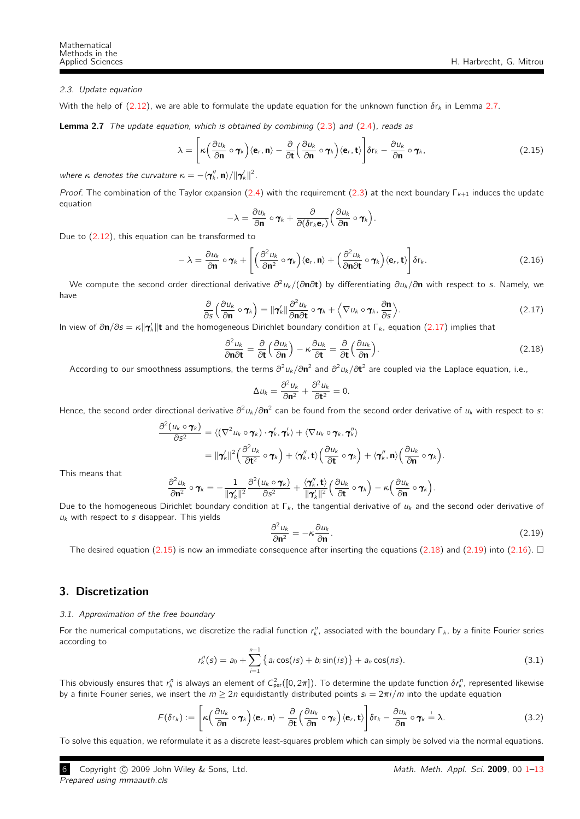## 2.3. Update equation

<span id="page-6-2"></span>With the help of [\(2.12\)](#page-5-5), we are able to formulate the update equation for the unknown function  $\delta r_k$  in Lemma [2.7.](#page-6-2)

**Lemma 2.7** The update equation, which is obtained by combining  $(2.3)$  and  $(2.4)$ , reads as

<span id="page-6-4"></span>
$$
\lambda = \left[\kappa \left(\frac{\partial u_k}{\partial \mathbf{n}} \circ \boldsymbol{\gamma}_k\right) \langle \mathbf{e}_r, \mathbf{n} \rangle - \frac{\partial}{\partial \mathbf{t}} \left(\frac{\partial u_k}{\partial \mathbf{n}} \circ \boldsymbol{\gamma}_k\right) \langle \mathbf{e}_r, \mathbf{t} \rangle \right] \delta r_k - \frac{\partial u_k}{\partial \mathbf{n}} \circ \boldsymbol{\gamma}_k, \tag{2.15}
$$

where  $\kappa$  denotes the curvature  $\kappa = -\langle \pmb{\gamma}_k'' , \pmb{\mathsf{n}} \rangle / \| \pmb{\gamma}_k' \|^2$ .

Proof. The combination of the Taylor expansion [\(2.4\)](#page-4-6) with the requirement [\(2.3\)](#page-4-0) at the next boundary  $\Gamma_{k+1}$  induces the update equation

$$
-\lambda = \frac{\partial u_k}{\partial \mathbf{n}} \circ \mathbf{\gamma}_k + \frac{\partial}{\partial (\delta r_k \mathbf{e}_r)} \left(\frac{\partial u_k}{\partial \mathbf{n}} \circ \mathbf{\gamma}_k\right)
$$

Due to [\(2.12\)](#page-5-5), this equation can be transformed to

<span id="page-6-7"></span>
$$
-\lambda = \frac{\partial u_k}{\partial \mathbf{n}} \circ \pmb{\gamma}_k + \left[ \left( \frac{\partial^2 u_k}{\partial \mathbf{n}^2} \circ \pmb{\gamma}_k \right) \langle \mathbf{e}_r, \mathbf{n} \rangle + \left( \frac{\partial^2 u_k}{\partial \mathbf{n} \partial \mathbf{t}} \circ \pmb{\gamma}_k \right) \langle \mathbf{e}_r, \mathbf{t} \rangle \right] \delta r_k. \tag{2.16}
$$

We compute the second order directional derivative  $\partial^2u_k/(\partial{\bf n}\partial{\bf t})$  by differentiating  $\partial u_k/\partial{\bf n}$  with respect to  $s$ . Namely, we have

<span id="page-6-3"></span>
$$
\frac{\partial}{\partial s} \left( \frac{\partial u_k}{\partial \mathbf{n}} \circ \mathbf{\gamma}_k \right) = ||\mathbf{\gamma}_k'|| \frac{\partial^2 u_k}{\partial \mathbf{n} \partial \mathbf{t}} \circ \mathbf{\gamma}_k + \left\langle \nabla u_k \circ \mathbf{\gamma}_k, \frac{\partial \mathbf{n}}{\partial s} \right\rangle.
$$
\n(2.17)

.

In view of ∂n/∂s =  $\kappa\|\bm{\gamma}'_{k}\|$ t and the homogeneous Dirichlet boundary condition at Γ $_k$ , equation [\(2.17\)](#page-6-3) implies that

<span id="page-6-5"></span>
$$
\frac{\partial^2 u_k}{\partial n \partial t} = \frac{\partial}{\partial t} \left( \frac{\partial u_k}{\partial n} \right) - \kappa \frac{\partial u_k}{\partial t} = \frac{\partial}{\partial t} \left( \frac{\partial u_k}{\partial n} \right).
$$
(2.18)

According to our smoothness assumptions, the terms  $\partial^2 u_k/\partial {\bf n}^2$  and  $\partial^2 u_k/\partial {\bf t}^2$  are coupled via the Laplace equation, i.e.,

$$
\Delta u_k = \frac{\partial^2 u_k}{\partial \mathbf{n}^2} + \frac{\partial^2 u_k}{\partial \mathbf{t}^2} = 0.
$$

Hence, the second order directional derivative  $\partial^2 u_k/\partial \bm{n}^2$  can be found from the second order derivative of  $u_k$  with respect to s:

$$
\frac{\partial^2 (u_k \circ \boldsymbol{\gamma}_k)}{\partial s^2} = \langle (\nabla^2 u_k \circ \boldsymbol{\gamma}_k) \cdot \boldsymbol{\gamma}_k', \boldsymbol{\gamma}_k' \rangle + \langle \nabla u_k \circ \boldsymbol{\gamma}_k, \boldsymbol{\gamma}_k'' \rangle \n= ||\boldsymbol{\gamma}_k'||^2 \Big( \frac{\partial^2 u_k}{\partial \mathbf{t}^2} \circ \boldsymbol{\gamma}_k \Big) + \langle \boldsymbol{\gamma}_k'', \mathbf{t} \rangle \Big( \frac{\partial u_k}{\partial \mathbf{t}} \circ \boldsymbol{\gamma}_k \Big) + \langle \boldsymbol{\gamma}_k'', \mathbf{n} \rangle \Big( \frac{\partial u_k}{\partial \mathbf{n}} \circ \boldsymbol{\gamma}_k \Big).
$$

This means that

$$
\frac{\partial^2 u_k}{\partial \mathbf{n}^2} \circ \mathbf{\gamma}_k = -\frac{1}{\|\mathbf{\gamma}_k'\|^2} \frac{\partial^2 (u_k \circ \mathbf{\gamma}_k)}{\partial s^2} + \frac{\langle \mathbf{\gamma}_k'', \mathbf{t} \rangle}{\|\mathbf{\gamma}_k'\|^2} \left( \frac{\partial u_k}{\partial \mathbf{t}} \circ \mathbf{\gamma}_k \right) - \kappa \left( \frac{\partial u_k}{\partial \mathbf{n}} \circ \mathbf{\gamma}_k \right).
$$

Due to the homogeneous Dirichlet boundary condition at  $\Gamma_k$ , the tangential derivative of  $u_k$  and the second oder derivative of  $u_k$  with respect to s disappear. This yields

<span id="page-6-6"></span>
$$
\frac{\partial^2 u_k}{\partial \mathbf{n}^2} = -\kappa \frac{\partial u_k}{\partial \mathbf{n}}.\tag{2.19}
$$

The desired equation [\(2.15\)](#page-6-4) is now an immediate consequence after inserting the equations [\(2.18\)](#page-6-5) and [\(2.19\)](#page-6-6) into [\(2.16\)](#page-6-7).  $\Box$ 

## <span id="page-6-0"></span>3. Discretization

### <span id="page-6-1"></span>3.1. Approximation of the free boundary

For the numerical computations, we discretize the radial function  $r_k^n$ , associated with the boundary  $\Gamma_k$ , by a finite Fourier series according to

<span id="page-6-8"></span>
$$
r_k^n(s) = a_0 + \sum_{i=1}^{n-1} \left\{ a_i \cos(is) + b_i \sin(is) \right\} + a_n \cos(ns).
$$
 (3.1)

This obviously ensures that  $r_k^n$  is always an element of  $C_{\rm per}^2([0,2\pi]).$  To determine the update function  $\delta r_k^n$ , represented likewise by a finite Fourier series, we insert the  $m \geq 2n$  equidistantly distributed points  $s_i = 2\pi i/m$  into the update equation

<span id="page-6-9"></span>
$$
F(\delta r_k) := \left[ \kappa \left( \frac{\partial u_k}{\partial \mathbf{n}} \circ \mathbf{\gamma}_k \right) \langle \mathbf{e}_r, \mathbf{n} \rangle - \frac{\partial}{\partial \mathbf{t}} \left( \frac{\partial u_k}{\partial \mathbf{n}} \circ \mathbf{\gamma}_k \right) \langle \mathbf{e}_r, \mathbf{t} \rangle \right] \delta r_k - \frac{\partial u_k}{\partial \mathbf{n}} \circ \mathbf{\gamma}_k \stackrel{!}{=} \lambda.
$$
 (3.2)

To solve this equation, we reformulate it as a discrete least-squares problem which can simply be solved via the normal equations.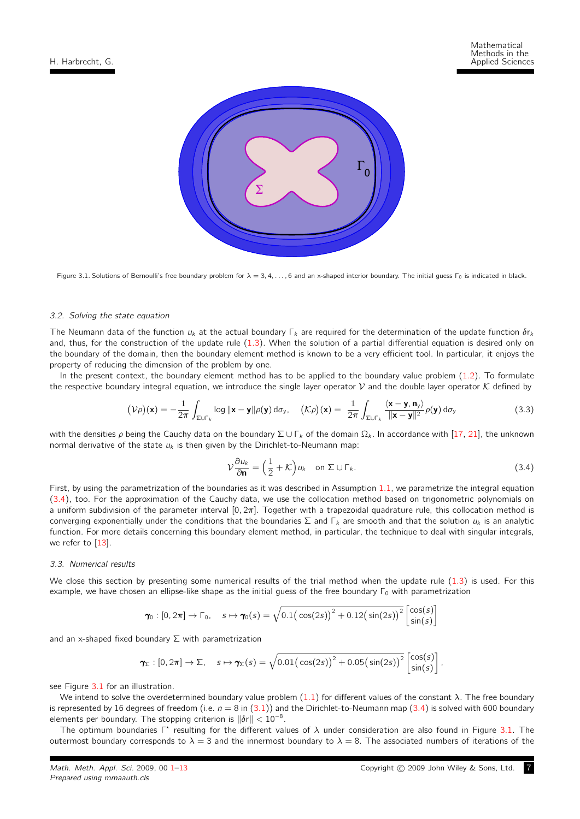<span id="page-7-3"></span>

Figure 3.1. Solutions of Bernoulli's free boundary problem for  $\lambda = 3, 4, \ldots, 6$  and an x-shaped interior boundary. The initial guess Γo is indicated in black.

## <span id="page-7-0"></span>3.2. Solving the state equation

The Neumann data of the function  $u_k$  at the actual boundary Γ<sub>k</sub> are required for the determination of the update function  $\delta r_k$ and, thus, for the construction of the update rule [\(1.3\)](#page-2-3). When the solution of a partial differential equation is desired only on the boundary of the domain, then the boundary element method is known to be a very efficient tool. In particular, it enjoys the property of reducing the dimension of the problem by one.

In the present context, the boundary element method has to be applied to the boundary value problem  $(1.2)$ . To formulate the respective boundary integral equation, we introduce the single layer operator  $V$  and the double layer operator K defined by

$$
(\mathcal{V}\rho)(\mathbf{x}) = -\frac{1}{2\pi} \int_{\Sigma \cup \Gamma_k} \log \|\mathbf{x} - \mathbf{y}\| \rho(\mathbf{y}) d\sigma_{\mathbf{y}}, \quad (\mathcal{K}\rho)(\mathbf{x}) = \frac{1}{2\pi} \int_{\Sigma \cup \Gamma_k} \frac{\langle \mathbf{x} - \mathbf{y}, \mathbf{n}_{\mathbf{y}} \rangle}{\|\mathbf{x} - \mathbf{y}\|^2} \rho(\mathbf{y}) d\sigma_{\mathbf{y}}
$$
(3.3)

with the densities  $\rho$  being the Cauchy data on the boundary  $\Sigma \cup \Gamma_k$  of the domain  $\Omega_k$ . In accordance with [\[17,](#page-13-16) [21\]](#page-13-17), the unknown normal derivative of the state  $u_k$  is then given by the Dirichlet-to-Neumann map:

<span id="page-7-2"></span>
$$
\mathcal{V}\frac{\partial u_k}{\partial \mathbf{n}} = \left(\frac{1}{2} + \mathcal{K}\right)u_k \quad \text{on } \Sigma \cup \Gamma_k.
$$
 (3.4)

First, by using the parametrization of the boundaries as it was described in Assumption  $1.1$ , we parametrize the integral equation [\(3.4\)](#page-7-2), too. For the approximation of the Cauchy data, we use the collocation method based on trigonometric polynomials on a uniform subdivision of the parameter interval [0, 2π]. Together with a trapezoidal quadrature rule, this collocation method is converging exponentially under the conditions that the boundaries  $\Sigma$  and  $\Gamma_k$  are smooth and that the solution  $u_k$  is an analytic function. For more details concerning this boundary element method, in particular, the technique to deal with singular integrals, we refer to [\[13\]](#page-13-18).

#### <span id="page-7-1"></span>3.3. Numerical results

We close this section by presenting some numerical results of the trial method when the update rule  $(1.3)$  is used. For this example, we have chosen an ellipse-like shape as the initial guess of the free boundary  $\Gamma_0$  with parametrization

$$
\boldsymbol{\gamma}_0: [0, 2\pi] \to \Gamma_0, \quad s \mapsto \boldsymbol{\gamma}_0(s) = \sqrt{0.1(\cos(2s))^2 + 0.12(\sin(2s))^2} \begin{bmatrix} \cos(s) \\ \sin(s) \end{bmatrix}
$$

and an x-shaped fixed boundary  $\Sigma$  with parametrization

$$
\boldsymbol{\gamma}_{\Sigma}:[0,2\pi]\to\Sigma,\quad s\mapsto \boldsymbol{\gamma}_{\Sigma}(s)=\sqrt{0.01\big(\cos(2s)\big)^2+0.05\big(\sin(2s)\big)^2}\begin{bmatrix} \cos(s) \\ \sin(s) \end{bmatrix},
$$

see Figure [3.1](#page-7-3) for an illustration.

We intend to solve the overdetermined boundary value problem  $(1.1)$  for different values of the constant  $\lambda$ . The free boundary is represented by 16 degrees of freedom (i.e.  $n = 8$  in [\(3.1\)](#page-6-8)) and the Dirichlet-to-Neumann map [\(3.4\)](#page-7-2) is solved with 600 boundary elements per boundary. The stopping criterion is  $\|\delta r\| < 10^{-8}$ .

The optimum boundaries  $\Gamma^*$  resulting for the different values of  $\lambda$  under consideration are also found in Figure [3.1.](#page-7-3) The outermost boundary corresponds to  $\lambda = 3$  and the innermost boundary to  $\lambda = 8$ . The associated numbers of iterations of the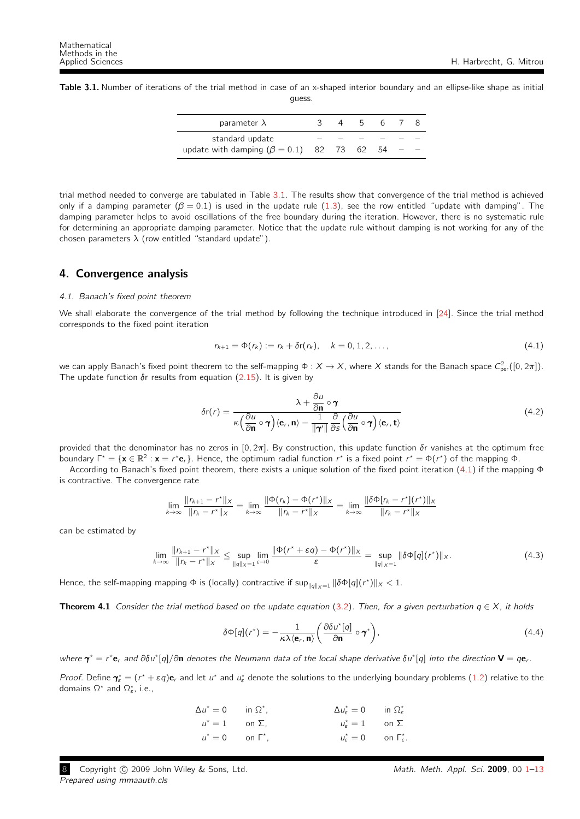<span id="page-8-1"></span>Table 3.1. Number of iterations of the trial method in case of an x-shaped interior boundary and an ellipse-like shape as initial guess.

| parameter $\lambda$                          |  | h | h.  |  |
|----------------------------------------------|--|---|-----|--|
| standard update                              |  |   |     |  |
| update with damping $(\beta = 0.1)$ 82 73 62 |  |   | -54 |  |

trial method needed to converge are tabulated in Table [3.1.](#page-8-1) The results show that convergence of the trial method is achieved only if a damping parameter ( $\beta = 0.1$ ) is used in the update rule [\(1.3\)](#page-2-3), see the row entitled "update with damping". The damping parameter helps to avoid oscillations of the free boundary during the iteration. However, there is no systematic rule for determining an appropriate damping parameter. Notice that the update rule without damping is not working for any of the chosen parameters  $\lambda$  (row entitled "standard update").

## <span id="page-8-0"></span>4. Convergence analysis

### <span id="page-8-6"></span>4.1. Banach's fixed point theorem

We shall elaborate the convergence of the trial method by following the technique introduced in [\[24\]](#page-13-8). Since the trial method corresponds to the fixed point iteration

<span id="page-8-2"></span>
$$
r_{k+1} = \Phi(r_k) := r_k + \delta r(r_k), \quad k = 0, 1, 2, \ldots,
$$
\n(4.1)

we can apply Banach's fixed point theorem to the self-mapping  $\Phi:X\to X$ , where  $X$  stands for the Banach space  $\mathcal{C}^2_{\rm per}([0,2\pi]).$ The update function  $\delta r$  results from equation [\(2.15\)](#page-6-4). It is given by

<span id="page-8-5"></span>
$$
\delta r(r) = \frac{\lambda + \frac{\partial u}{\partial \mathbf{n}} \circ \gamma}{\kappa \left(\frac{\partial u}{\partial \mathbf{n}} \circ \gamma\right) \langle \mathbf{e}_r, \mathbf{n} \rangle - \frac{1}{\|\gamma'\|} \frac{\partial}{\partial s} \left(\frac{\partial u}{\partial \mathbf{n}} \circ \gamma\right) \langle \mathbf{e}_r, \mathbf{t} \rangle}
$$
(4.2)

provided that the denominator has no zeros in  $[0, 2\pi]$ . By construction, this update function  $\delta r$  vanishes at the optimum free boundary  $\Gamma^* = \{ \mathbf{x} \in \mathbb{R}^2 : \mathbf{x} = r^* \mathbf{e}_r \}$ . Hence, the optimum radial function  $r^*$  is a fixed point  $r^* = \Phi(r^*)$  of the mapping  $\Phi$ .

According to Banach's fixed point theorem, there exists a unique solution of the fixed point iteration  $(4.1)$  if the mapping  $\Phi$ is contractive. The convergence rate

$$
\lim_{k \to \infty} \frac{\|r_{k+1} - r^*\|_X}{\|r_k - r^*\|_X} = \lim_{k \to \infty} \frac{\|\Phi(r_k) - \Phi(r^*)\|_X}{\|r_k - r^*\|_X} = \lim_{k \to \infty} \frac{\|\delta\Phi[r_k - r^*](r^*)\|_X}{\|r_k - r^*\|_X}
$$

can be estimated by

$$
\lim_{k \to \infty} \frac{\|r_{k+1} - r^*\|_X}{\|r_k - r^*\|_X} \le \sup_{\|q\|_X = 1} \lim_{\varepsilon \to 0} \frac{\|\Phi(r^* + \varepsilon q) - \Phi(r^*)\|_X}{\varepsilon} = \sup_{\|q\|_X = 1} \|\delta\Phi[q](r^*)\|_X. \tag{4.3}
$$

<span id="page-8-4"></span>Hence, the self-mapping mapping  $\Phi$  is (locally) contractive if  $\sup_{\|q\|_X=1} \|\delta\Phi[q](r^*)\|_X < 1$ .

**Theorem 4.1** Consider the trial method based on the update equation [\(3.2\)](#page-6-9). Then, for a given perturbation  $q \in X$ , it holds

<span id="page-8-3"></span>
$$
\delta \Phi[q](r^*) = -\frac{1}{\kappa \lambda \langle \mathbf{e}_r, \mathbf{n} \rangle} \left( \frac{\partial \delta u^* [q]}{\partial \mathbf{n}} \circ \boldsymbol{\gamma}^* \right), \tag{4.4}
$$

where  $\pmb{\gamma}^\star=r^\star \mathbf{e}_r$  and  $\partial \delta u^\star[q]/\partial \mathbf{n}$  denotes the Neumann data of the local shape derivative  $\delta u^\star[q]$  into the direction  $\pmb{\mathsf{V}}=q\mathbf{e}_r$ .

Proof. Define  $\pmb{\gamma}_\varepsilon^*=(r^*+\varepsilon q)\pmb{e}_r$  and let  $u^*$  and  $u^*_{\varepsilon}$  denote the solutions to the underlying boundary problems [\(1.2\)](#page-2-5) relative to the domains  $\Omega^*$  and  $\Omega_{\varepsilon}^*$ , i.e.,

$$
\Delta u^* = 0 \t\t in  $\Omega^*$ ,  
\n
$$
u^* = 1 \t\t on  $\Sigma$ ,  
\n
$$
u^* = 0 \t\t on  $\Gamma^*$ ,  
\n
$$
u_{\varepsilon}^* = 0 \t\t in  $\Omega_{\varepsilon}^*$   
\n
$$
u_{\varepsilon}^* = 0 \t\t on  $\Sigma$   
\n
$$
u_{\varepsilon}^* = 0 \t\t on  $\Gamma_{\varepsilon}^*$ .
$$
$$
$$
$$
$$
$$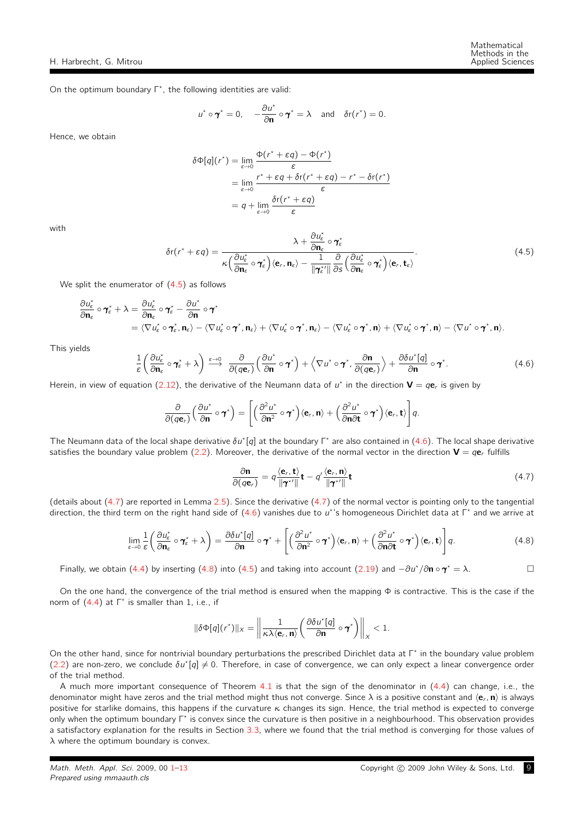### H. Harbrecht, G. Mitrou

On the optimum boundary  $\Gamma^*$ , the following identities are valid:

$$
u^* \circ \gamma^* = 0
$$
,  $-\frac{\partial u^*}{\partial \mathbf{n}} \circ \gamma^* = \lambda$  and  $\delta r(r^*) = 0$ .

Hence, we obtain

$$
\delta \Phi[q](r^*) = \lim_{\varepsilon \to 0} \frac{\Phi(r^* + \varepsilon q) - \Phi(r^*)}{\varepsilon}
$$
  
= 
$$
\lim_{\varepsilon \to 0} \frac{r^* + \varepsilon q + \delta r(r^* + \varepsilon q) - r^* - \delta r(r^*)}{\varepsilon}
$$
  
= 
$$
q + \lim_{\varepsilon \to 0} \frac{\delta r(r^* + \varepsilon q)}{\varepsilon}
$$

∂u?

with

<span id="page-9-0"></span>
$$
\delta r(r^* + \varepsilon q) = \frac{\lambda + \frac{\partial u_{\varepsilon}}{\partial \mathbf{n}_{\varepsilon}} \circ \boldsymbol{\gamma}_{\varepsilon}^*}{\kappa \left(\frac{\partial u_{\varepsilon}^*}{\partial \mathbf{n}_{\varepsilon}} \circ \boldsymbol{\gamma}_{\varepsilon}^*\right) \langle \mathbf{e}_r, \mathbf{n}_{\varepsilon} \rangle - \frac{1}{\|\boldsymbol{\gamma}_{\varepsilon}^{*\prime}\|} \frac{\partial}{\partial s} \left(\frac{\partial u_{\varepsilon}^*}{\partial \mathbf{n}_{\varepsilon}} \circ \boldsymbol{\gamma}_{\varepsilon}^*\right) \langle \mathbf{e}_r, \mathbf{t}_{\varepsilon} \rangle}.
$$
(4.5)

We split the enumerator of  $(4.5)$  as follows

$$
\frac{\partial u_{\varepsilon}^{*}}{\partial \mathbf{n}_{\varepsilon}} \circ \gamma_{\varepsilon}^{*} + \lambda = \frac{\partial u_{\varepsilon}^{*}}{\partial \mathbf{n}_{\varepsilon}} \circ \gamma_{\varepsilon}^{*} - \frac{\partial u^{*}}{\partial \mathbf{n}} \circ \gamma^{*} \n= \langle \nabla u_{\varepsilon}^{*} \circ \gamma_{\varepsilon}^{*}, \mathbf{n}_{\varepsilon} \rangle - \langle \nabla u_{\varepsilon}^{*} \circ \gamma^{*}, \mathbf{n}_{\varepsilon} \rangle + \langle \nabla u_{\varepsilon}^{*} \circ \gamma^{*}, \mathbf{n}_{\varepsilon} \rangle - \langle \nabla u_{\varepsilon}^{*} \circ \gamma^{*}, \mathbf{n} \rangle + \langle \nabla u_{\varepsilon}^{*} \circ \gamma^{*}, \mathbf{n} \rangle - \langle \nabla u^{*} \circ \gamma^{*}, \mathbf{n} \rangle.
$$

This yields

<span id="page-9-1"></span>
$$
\frac{1}{\varepsilon} \left( \frac{\partial u_{\varepsilon}^{*}}{\partial \mathbf{n}_{\varepsilon}} \circ \boldsymbol{\gamma}_{\varepsilon}^{*} + \lambda \right) \xrightarrow{\varepsilon \to 0} \frac{\partial}{\partial (q\mathbf{e}_{r})} \left( \frac{\partial u^{*}}{\partial \mathbf{n}} \circ \boldsymbol{\gamma}^{*} \right) + \left\langle \nabla u^{*} \circ \boldsymbol{\gamma}^{*}, \frac{\partial \mathbf{n}}{\partial (q\mathbf{e}_{r})} \right\rangle + \frac{\partial \delta u^{*}[q]}{\partial \mathbf{n}} \circ \boldsymbol{\gamma}^{*}.
$$
 (4.6)

Herein, in view of equation [\(2.12\)](#page-5-5), the derivative of the Neumann data of  $u^*$  in the direction  $V = q e_r$  is given by

$$
\frac{\partial}{\partial (q\mathbf{e}_r)}\left(\frac{\partial u^*}{\partial \mathbf{n}}\circ \boldsymbol{\gamma}^*\right)=\left[\left(\frac{\partial^2 u^*}{\partial \mathbf{n}^2}\circ \boldsymbol{\gamma}^*\right)\langle \mathbf{e}_r, \mathbf{n}\rangle+\left(\frac{\partial^2 u^*}{\partial \mathbf{n}\partial \mathbf{t}}\circ \boldsymbol{\gamma}^*\right)\langle \mathbf{e}_r, \mathbf{t}\rangle\right]q.
$$

The Neumann data of the local shape derivative  $\delta u^*[q]$  at the boundary  $\Gamma^*$  are also contained in [\(4.6\)](#page-9-1). The local shape derivative satisfies the boundary value problem [\(2.2\)](#page-4-7). Moreover, the derivative of the normal vector in the direction  $V = q e_r$  fulfills

<span id="page-9-3"></span><span id="page-9-2"></span>
$$
\frac{\partial \mathbf{n}}{\partial (q \mathbf{e}_r)} = q \frac{\langle \mathbf{e}_r, \mathbf{t} \rangle}{\|\boldsymbol{\gamma}^{\star\prime}\|} \mathbf{t} - q' \frac{\langle \mathbf{e}_r, \mathbf{n} \rangle}{\|\boldsymbol{\gamma}^{\star\prime}\|} \mathbf{t}
$$
\n(4.7)

(details about  $(4.7)$  are reported in Lemma [2.5\)](#page-4-2). Since the derivative  $(4.7)$  of the normal vector is pointing only to the tangential direction, the third term on the right hand side of [\(4.6\)](#page-9-1) vanishes due to u\*'s homogeneous Dirichlet data at  $\Gamma^*$  and we arrive at

$$
\lim_{\varepsilon \to 0} \frac{1}{\varepsilon} \left( \frac{\partial u_{\varepsilon}^{\star}}{\partial \mathbf{n}_{\varepsilon}} \circ \mathbf{\gamma}_{\varepsilon}^{\star} + \lambda \right) = \frac{\partial \delta u^{\star}[q]}{\partial \mathbf{n}} \circ \mathbf{\gamma}^{\star} + \left[ \left( \frac{\partial^{2} u^{\star}}{\partial \mathbf{n}^{2}} \circ \mathbf{\gamma}^{\star} \right) \langle \mathbf{e}_{r}, \mathbf{n} \rangle + \left( \frac{\partial^{2} u^{\star}}{\partial \mathbf{n} \partial \mathbf{t}} \circ \mathbf{\gamma}^{\star} \right) \langle \mathbf{e}_{r}, \mathbf{t} \rangle \right] q. \tag{4.8}
$$

Finally, we obtain [\(4.4\)](#page-8-3) by inserting [\(4.8\)](#page-9-3) into [\(4.5\)](#page-9-0) and taking into account [\(2.19\)](#page-6-6) and  $-\partial u^*/\partial \mathbf{n} \circ \boldsymbol{\gamma}^* = \lambda$ .

On the one hand, the convergence of the trial method is ensured when the mapping  $\Phi$  is contractive. This is the case if the norm of  $(4.4)$  at  $\Gamma^*$  is smaller than 1, i.e., if

$$
\|\delta\Phi[q](r^*)\|_{X}=\left\|\frac{1}{\kappa\lambda\langle\mathbf{e}_r,\mathbf{n}\rangle}\left(\frac{\partial\delta u^*\!\left[q\right]}{\partial\mathbf{n}}\circ\boldsymbol{\gamma}^*\right)\right\|_{X}<1.
$$

On the other hand, since for nontrivial boundary perturbations the prescribed Dirichlet data at  $\Gamma^*$  in the boundary value problem [\(2.2\)](#page-4-7) are non-zero, we conclude  $\delta u^*[q] \neq 0$ . Therefore, in case of convergence, we can only expect a linear convergence order of the trial method.

A much more important consequence of Theorem [4.1](#page-8-4) is that the sign of the denominator in [\(4.4\)](#page-8-3) can change, i.e., the denominator might have zeros and the trial method might thus not converge. Since  $\lambda$  is a positive constant and  $\langle e_r, n \rangle$  is always positive for starlike domains, this happens if the curvature  $\kappa$  changes its sign. Hence, the trial method is expected to converge only when the optimum boundary Γ? is convex since the curvature is then positive in a neighbourhood. This observation provides a satisfactory explanation for the results in Section [3.3,](#page-7-1) where we found that the trial method is converging for those values of  $\lambda$  where the optimum boundary is convex.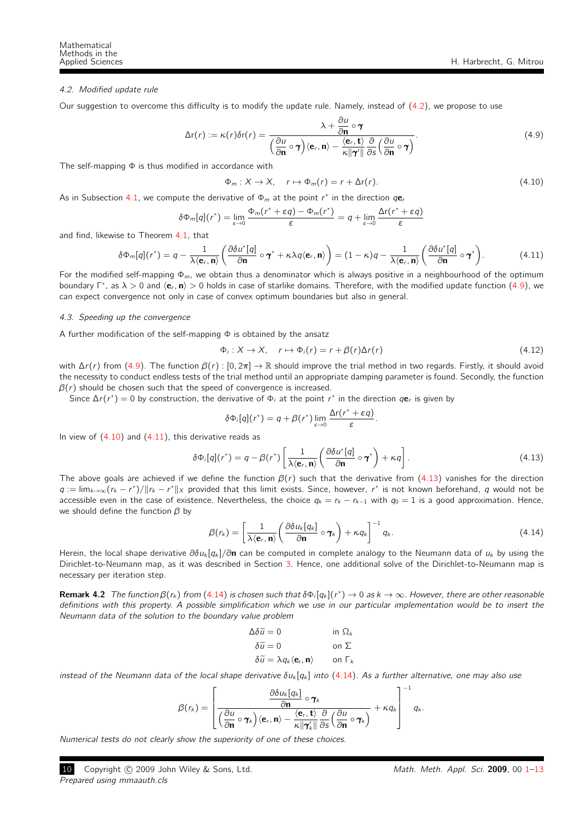### 4.2. Modified update rule

Our suggestion to overcome this difficulty is to modify the update rule. Namely, instead of [\(4.2\)](#page-8-5), we propose to use

<span id="page-10-0"></span>
$$
\Delta r(r) := \kappa(r)\delta r(r) = \frac{\lambda + \frac{\partial u}{\partial \mathbf{n}} \circ \gamma}{\left(\frac{\partial u}{\partial \mathbf{n}} \circ \gamma\right) \langle \mathbf{e}_r, \mathbf{n} \rangle - \frac{\langle \mathbf{e}_r, \mathbf{t} \rangle}{\kappa ||\gamma'||} \frac{\partial}{\partial s} \left(\frac{\partial u}{\partial \mathbf{n}} \circ \gamma\right)}.
$$
(4.9)

The self-mapping  $\Phi$  is thus modified in accordance with

<span id="page-10-1"></span>
$$
\Phi_m: X \to X, \quad r \mapsto \Phi_m(r) = r + \Delta r(r). \tag{4.10}
$$

As in Subsection [4.1,](#page-8-6) we compute the derivative of  $\Phi_m$  at the point  $r^*$  in the direction  $q\mathbf{e}_r$ 

$$
\delta\Phi_m[q](r^*)=\lim_{\varepsilon\to 0}\frac{\Phi_m(r^*+\varepsilon q)-\Phi_m(r^*)}{\varepsilon}=q+\lim_{\varepsilon\to 0}\frac{\Delta r(r^*+\varepsilon q)}{\varepsilon}
$$

and find, likewise to Theorem [4.1,](#page-8-4) that

<span id="page-10-2"></span>
$$
\delta\Phi_m[q](r^*) = q - \frac{1}{\lambda \langle \mathbf{e}_r, \mathbf{n} \rangle} \left( \frac{\partial \delta u^* [q]}{\partial \mathbf{n}} \circ \pmb{\gamma}^* + \kappa \lambda q \langle \mathbf{e}_r, \mathbf{n} \rangle \right) = (1 - \kappa)q - \frac{1}{\lambda \langle \mathbf{e}_r, \mathbf{n} \rangle} \left( \frac{\partial \delta u^* [q]}{\partial \mathbf{n}} \circ \pmb{\gamma}^* \right). \tag{4.11}
$$

For the modified self-mapping  $\Phi_m$ , we obtain thus a denominator which is always positive in a neighbourhood of the optimum boundary  $\Gamma^*$ , as  $\lambda > 0$  and  $\langle \mathbf{e}_r, \mathbf{n} \rangle > 0$  holds in case of starlike domains. Therefore, with the modified update function [\(4.9\)](#page-10-0), we can expect convergence not only in case of convex optimum boundaries but also in general.

## 4.3. Speeding up the convergence

A further modification of the self-mapping  $\Phi$  is obtained by the ansatz

$$
\Phi_i: X \to X, \quad r \mapsto \Phi_i(r) = r + \beta(r)\Delta r(r) \tag{4.12}
$$

with  $\Delta r(r)$  from [\(4.9\)](#page-10-0). The function  $\beta(r)$  : [0, 2 $\pi$ ]  $\rightarrow \mathbb{R}$  should improve the trial method in two regards. Firstly, it should avoid the necessity to conduct endless tests of the trial method until an appropriate damping parameter is found. Secondly, the function  $\beta(r)$  should be chosen such that the speed of convergence is increased.

Since  $\Delta r(r^*) = 0$  by construction, the derivative of  $\Phi_i$  at the point  $r^*$  in the direction  $q\mathbf{e}_r$  is given by

$$
\delta\Phi_i[q](r^*) = q + \beta(r^*) \lim_{\varepsilon \to 0} \frac{\Delta r(r^* + \varepsilon q)}{\varepsilon}
$$

In view of  $(4.10)$  and  $(4.11)$ , this derivative reads as

<span id="page-10-3"></span>
$$
\delta\Phi_i[q](r^*) = q - \beta(r^*) \left[ \frac{1}{\lambda \langle \mathbf{e}_r, \mathbf{n} \rangle} \left( \frac{\partial \delta u^* [q]}{\partial \mathbf{n}} \circ \mathbf{\gamma}^* \right) + \kappa q \right]. \tag{4.13}
$$

.

The above goals are achieved if we define the function  $\beta(r)$  such that the derivative from [\(4.13\)](#page-10-3) vanishes for the direction  $q := \lim_{k \to \infty} (r_k - r^*) / ||r_k - r^*||_X$  provided that this limit exists. Since, however,  $r^*$  is not known beforehand, q would not be accessible even in the case of existence. Nevertheless, the choice  $q_k = r_k - r_{k-1}$  with  $q_0 = 1$  is a good approximation. Hence, we should define the function  $\beta$  by

<span id="page-10-4"></span>
$$
\beta(r_k) = \left[\frac{1}{\lambda \langle \mathbf{e}_r, \mathbf{n} \rangle} \left(\frac{\partial \delta u_k[q_k]}{\partial \mathbf{n}} \circ \mathbf{\gamma}_k\right) + \kappa q_k\right]^{-1} q_k. \tag{4.14}
$$

Herein, the local shape derivative  $\partial \delta u_k |q_k|/\partial n$  can be computed in complete analogy to the Neumann data of  $u_k$  by using the Dirichlet-to-Neumann map, as it was described in Section [3.](#page-6-0) Hence, one additional solve of the Dirichlet-to-Neumann map is necessary per iteration step.

**Remark 4.2** The function  $\beta(r_k)$  from  $(4.14)$  is chosen such that  $\delta\Phi_i[q_k](r^*) \to 0$  as  $k \to \infty$ . However, there are other reasonable definitions with this property. A possible simplification which we use in our particular implementation would be to insert the Neumann data of the solution to the boundary value problem

$$
\Delta \delta \widetilde{u} = 0 \qquad \text{in } \Omega_k
$$

$$
\delta \widetilde{u} = 0 \qquad \text{on } \Sigma
$$

$$
\delta \widetilde{u} = \lambda q_k \langle \mathbf{e}_r, \mathbf{n} \rangle \qquad \text{on } \Gamma_k
$$

instead of the Neumann data of the local shape derivative  $\delta u_k[q_k]$  into [\(4.14\)](#page-10-4). As a further alternative, one may also use

$$
\beta(r_k) = \left[ \frac{\frac{\partial \delta u_k[q_k]}{\partial \mathbf{n}} \circ \boldsymbol{\gamma}_k}{\left(\frac{\partial u}{\partial \mathbf{n}} \circ \boldsymbol{\gamma}_k\right) \langle \mathbf{e}_r, \mathbf{n} \rangle - \frac{\langle \mathbf{e}_r, \mathbf{t} \rangle}{\kappa \|\boldsymbol{\gamma}_k'\|} \frac{\partial}{\partial s} \left(\frac{\partial u}{\partial \mathbf{n}} \circ \boldsymbol{\gamma}_k\right)} + \kappa q_k \right]^{-1} q_k.
$$

Numerical tests do not clearly show the superiority of one of these choices.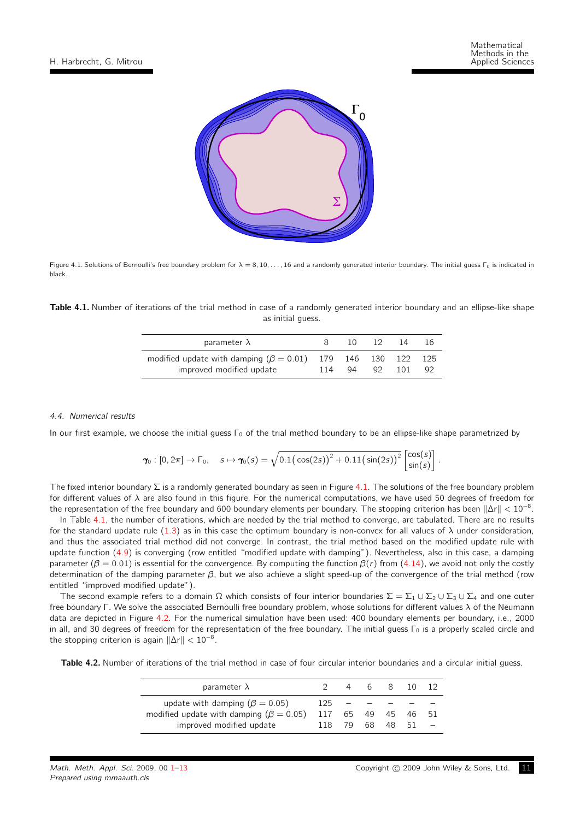<span id="page-11-1"></span>

Figure 4.1. Solutions of Bernoulli's free boundary problem for  $\lambda = 8, 10, \ldots, 16$  and a randomly generated interior boundary. The initial guess Γ<sub>0</sub> is indicated in black.

<span id="page-11-2"></span>Table 4.1. Number of iterations of the trial method in case of a randomly generated interior boundary and an ellipse-like shape as initial guess.

| parameter $\lambda$                                                                           |     | 1 O | 12. | 14   | 16   |
|-----------------------------------------------------------------------------------------------|-----|-----|-----|------|------|
| modified update with damping $(\beta = 0.01)$ 179 146 130 122 125<br>improved modified update | 114 | 94  | -92 | 101. | - 92 |

#### <span id="page-11-0"></span>4.4. Numerical results

In our first example, we choose the initial guess  $\Gamma_0$  of the trial method boundary to be an ellipse-like shape parametrized by

$$
\boldsymbol{\gamma}_0: [0,2\pi]\to \Gamma_0, \quad s\mapsto \boldsymbol{\gamma}_0(s)=\sqrt{0.1\big(\cos(2s)\big)^2+0.11\big(\sin(2s)\big)^2}\begin{bmatrix} \cos(s) \\ \sin(s) \end{bmatrix}.
$$

The fixed interior boundary  $\Sigma$  is a randomly generated boundary as seen in Figure [4.1.](#page-11-1) The solutions of the free boundary problem for different values of  $\lambda$  are also found in this figure. For the numerical computations, we have used 50 degrees of freedom for the representation of the free boundary and 600 boundary elements per boundary. The stopping criterion has been  $\|\Delta r\| < 10^{-8}$ .

In Table [4.1,](#page-11-2) the number of iterations, which are needed by the trial method to converge, are tabulated. There are no results for the standard update rule [\(1.3\)](#page-2-3) as in this case the optimum boundary is non-convex for all values of  $\lambda$  under consideration, and thus the associated trial method did not converge. In contrast, the trial method based on the modified update rule with update function [\(4.9\)](#page-10-0) is converging (row entitled "modified update with damping"). Nevertheless, also in this case, a damping parameter ( $\beta = 0.01$ ) is essential for the convergence. By computing the function  $\beta(r)$  from [\(4.14\)](#page-10-4), we avoid not only the costly determination of the damping parameter  $β$ , but we also achieve a slight speed-up of the convergence of the trial method (row entitled "improved modified update").

The second example refers to a domain  $\Omega$  which consists of four interior boundaries  $\Sigma = \Sigma_1 \cup \Sigma_2 \cup \Sigma_3 \cup \Sigma_4$  and one outer free boundary Γ. We solve the associated Bernoulli free boundary problem, whose solutions for different values  $\lambda$  of the Neumann data are depicted in Figure [4.2.](#page-12-7) For the numerical simulation have been used: 400 boundary elements per boundary, i.e., 2000 in all, and 30 degrees of freedom for the representation of the free boundary. The initial guess  $\Gamma_0$  is a properly scaled circle and the stopping criterion is again  $\|\Delta r\| < 10^{-8}$ .

<span id="page-11-3"></span>Table 4.2. Number of iterations of the trial method in case of four circular interior boundaries and a circular initial guess.

| parameter $\lambda$                             |     | 4   |                 | 68       | 10. |      |
|-------------------------------------------------|-----|-----|-----------------|----------|-----|------|
| update with damping ( $\beta = 0.05$ )          |     |     | $125 - - - -$   |          |     |      |
| modified update with damping ( $\beta = 0.05$ ) |     |     | 117 65 49 45 46 |          |     | - 51 |
| improved modified update                        | 118 | 79. |                 | 68 48 51 |     |      |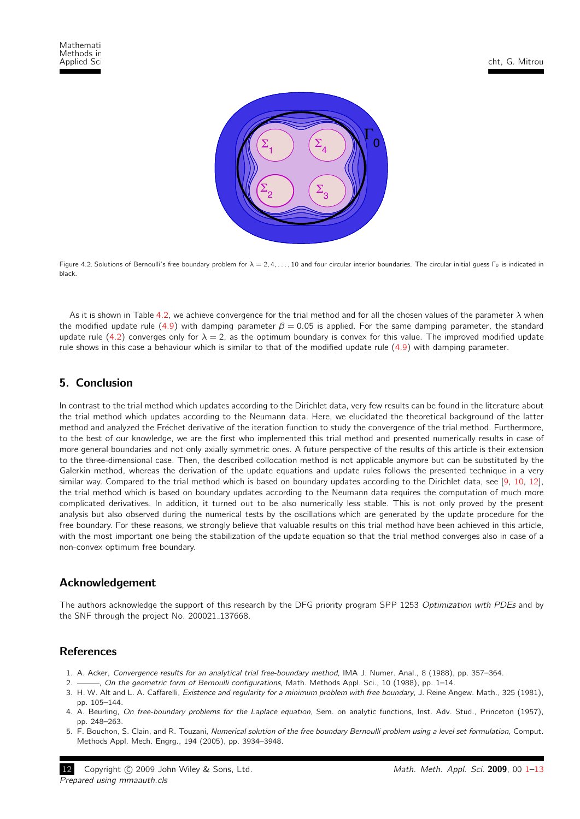<span id="page-12-7"></span>

Figure 4.2. Solutions of Bernoulli's free boundary problem for  $\lambda = 2, 4, \ldots, 10$  and four circular interior boundaries. The circular initial guess Γ<sub>0</sub> is indicated in black.

As it is shown in Table [4.2,](#page-11-3) we achieve convergence for the trial method and for all the chosen values of the parameter  $\lambda$  when the modified update rule [\(4.9\)](#page-10-0) with damping parameter  $\beta = 0.05$  is applied. For the same damping parameter, the standard update rule [\(4.2\)](#page-8-5) converges only for  $\lambda = 2$ , as the optimum boundary is convex for this value. The improved modified update rule shows in this case a behaviour which is similar to that of the modified update rule [\(4.9\)](#page-10-0) with damping parameter.

## <span id="page-12-6"></span>5. Conclusion

In contrast to the trial method which updates according to the Dirichlet data, very few results can be found in the literature about the trial method which updates according to the Neumann data. Here, we elucidated the theoretical background of the latter method and analyzed the Fréchet derivative of the iteration function to study the convergence of the trial method. Furthermore, to the best of our knowledge, we are the first who implemented this trial method and presented numerically results in case of more general boundaries and not only axially symmetric ones. A future perspective of the results of this article is their extension to the three-dimensional case. Then, the described collocation method is not applicable anymore but can be substituted by the Galerkin method, whereas the derivation of the update equations and update rules follows the presented technique in a very similar way. Compared to the trial method which is based on boundary updates according to the Dirichlet data, see [\[9,](#page-13-6) [10,](#page-13-7) [12\]](#page-13-3), the trial method which is based on boundary updates according to the Neumann data requires the computation of much more complicated derivatives. In addition, it turned out to be also numerically less stable. This is not only proved by the present analysis but also observed during the numerical tests by the oscillations which are generated by the update procedure for the free boundary. For these reasons, we strongly believe that valuable results on this trial method have been achieved in this article, with the most important one being the stabilization of the update equation so that the trial method converges also in case of a non-convex optimum free boundary.

## Acknowledgement

The authors acknowledge the support of this research by the DFG priority program SPP 1253 Optimization with PDEs and by the SNF through the project No. 200021 137668.

## <span id="page-12-5"></span>References

- <span id="page-12-1"></span>1. A. Acker, Convergence results for an analytical trial free-boundary method, IMA J. Numer. Anal., 8 (1988), pp. 357–364.
- <span id="page-12-4"></span>2.  $\frac{1}{2}$ , On the geometric form of Bernoulli configurations, Math. Methods Appl. Sci., 10 (1988), pp. 1–14.
- <span id="page-12-2"></span>3. H. W. Alt and L. A. Caffarelli, Existence and regularity for a minimum problem with free boundary, J. Reine Angew. Math., 325 (1981), pp. 105–144.
- <span id="page-12-3"></span>4. A. Beurling, On free-boundary problems for the Laplace equation, Sem. on analytic functions, Inst. Adv. Stud., Princeton (1957), pp. 248–263.
- <span id="page-12-0"></span>5. F. Bouchon, S. Clain, and R. Touzani, Numerical solution of the free boundary Bernoulli problem using a level set formulation, Comput. Methods Appl. Mech. Engrg., 194 (2005), pp. 3934–3948.